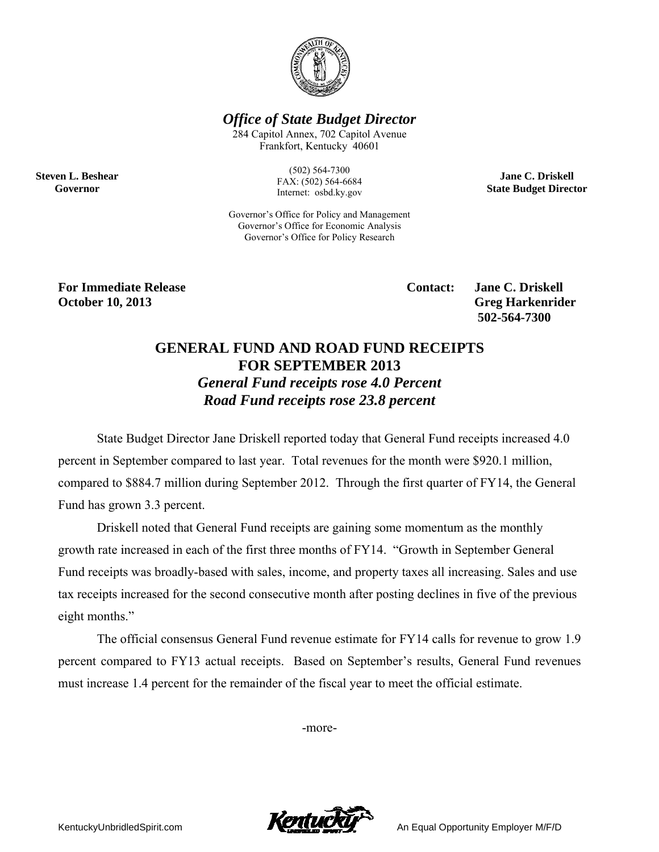

**Office of State Budget Director** 

284 Capitol Annex, 702 Capitol Avenue Frankfort, Kentucky 40601

> $(502) 564 - 7300$ FAX: (502) 564-6684 Internet: osbd.ky.gov

Governor's Office for Policy and Management Governor's Office for Economic Analysis Governor's Office for Policy Research

**Jane C. Driskell State Budget Director** 

**For Immediate Release October 10, 2013** 

**Steven L. Beshear** 

Governor

**Contact:** 

**Jane C. Driskell Greg Harkenrider** 502-564-7300

## **GENERAL FUND AND ROAD FUND RECEIPTS FOR SEPTEMBER 2013 General Fund receipts rose 4.0 Percent** Road Fund receipts rose 23.8 percent

State Budget Director Jane Driskell reported today that General Fund receipts increased 4.0 percent in September compared to last year. Total revenues for the month were \$920.1 million, compared to \$884.7 million during September 2012. Through the first quarter of FY14, the General Fund has grown 3.3 percent.

Driskell noted that General Fund receipts are gaining some momentum as the monthly growth rate increased in each of the first three months of FY14. "Growth in September General Fund receipts was broadly-based with sales, income, and property taxes all increasing. Sales and use tax receipts increased for the second consecutive month after posting declines in five of the previous eight months."

The official consensus General Fund revenue estimate for FY14 calls for revenue to grow 1.9 percent compared to FY13 actual receipts. Based on September's results, General Fund revenues must increase 1.4 percent for the remainder of the fiscal year to meet the official estimate.

-more-



An Equal Opportunity Employer M/F/D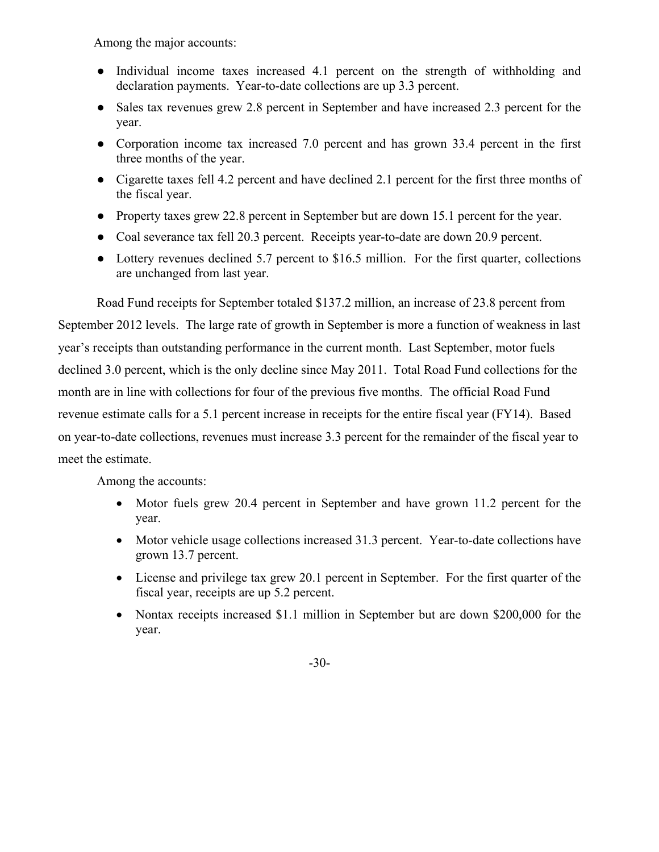Among the major accounts:

- Individual income taxes increased 4.1 percent on the strength of withholding and declaration payments. Year-to-date collections are up 3.3 percent.
- Sales tax revenues grew 2.8 percent in September and have increased 2.3 percent for the year.
- Corporation income tax increased 7.0 percent and has grown 33.4 percent in the first three months of the year.
- Cigarette taxes fell 4.2 percent and have declined 2.1 percent for the first three months of the fiscal year.
- Property taxes grew 22.8 percent in September but are down 15.1 percent for the year.
- Coal severance tax fell 20.3 percent. Receipts year-to-date are down 20.9 percent.
- Lottery revenues declined 5.7 percent to \$16.5 million. For the first quarter, collections are unchanged from last year.

 Road Fund receipts for September totaled \$137.2 million, an increase of 23.8 percent from September 2012 levels. The large rate of growth in September is more a function of weakness in last year's receipts than outstanding performance in the current month. Last September, motor fuels declined 3.0 percent, which is the only decline since May 2011. Total Road Fund collections for the month are in line with collections for four of the previous five months. The official Road Fund revenue estimate calls for a 5.1 percent increase in receipts for the entire fiscal year (FY14). Based on year-to-date collections, revenues must increase 3.3 percent for the remainder of the fiscal year to meet the estimate.

Among the accounts:

- Motor fuels grew 20.4 percent in September and have grown 11.2 percent for the year.
- Motor vehicle usage collections increased 31.3 percent. Year-to-date collections have grown 13.7 percent.
- License and privilege tax grew 20.1 percent in September. For the first quarter of the fiscal year, receipts are up 5.2 percent.
- Nontax receipts increased \$1.1 million in September but are down \$200,000 for the year.

-30-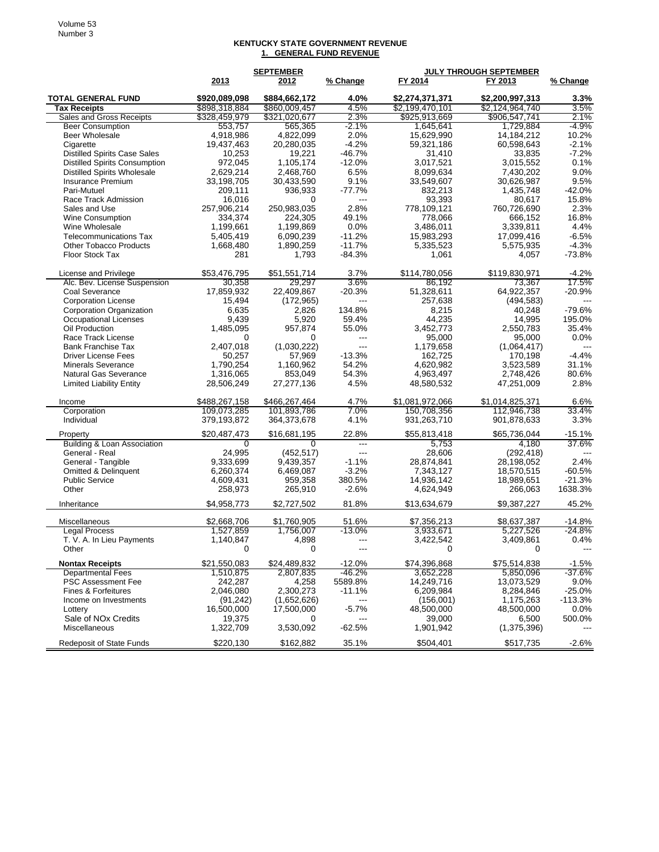## **KENTUCKY STATE GOVERNMENT REVENUE 1. GENERAL FUND REVENUE**

|                                      | <b>SEPTEMBER</b> |               |                | JULY THROUGH SEPTEMBER |                 |           |  |
|--------------------------------------|------------------|---------------|----------------|------------------------|-----------------|-----------|--|
|                                      | 2013             | 2012          | % Change       | FY 2014                | FY 2013         | % Change  |  |
| <b>TOTAL GENERAL FUND</b>            | \$920,089,098    | \$884,662,172 | 4.0%           | \$2,274,371,371        | \$2,200,997,313 | 3.3%      |  |
| Tax Receipts                         | \$898,318,884    | \$860,009.457 | 4.5%           | \$2,199,470,101        | \$2,124,964,740 | 3.5%      |  |
| Sales and Gross Receipts             | \$328,459,979    | \$321,020,677 | 2.3%           | \$925,913,669          | \$906,547,741   | $2.1\%$   |  |
| <b>Beer Consumption</b>              | 553,757          | 565,365       | -2.1%          | 1,645,641              | 1,729,884       | -4.9%     |  |
| Beer Wholesale                       | 4,918,986        | 4,822,099     | 2.0%           | 15,629,990             | 14,184,212      | 10.2%     |  |
| Cigarette                            | 19,437,463       | 20,280,035    | $-4.2%$        | 59,321,186             | 60,598,643      | $-2.1%$   |  |
| <b>Distilled Spirits Case Sales</b>  | 10,253           | 19,221        | -46.7%         | 31,410                 | 33,835          | $-7.2%$   |  |
| <b>Distilled Spirits Consumption</b> | 972,045          | 1,105,174     | $-12.0%$       | 3,017,521              | 3,015,552       | 0.1%      |  |
| <b>Distilled Spirits Wholesale</b>   | 2,629,214        | 2,468,760     | 6.5%           | 8,099,634              | 7.430.202       | 9.0%      |  |
| <b>Insurance Premium</b>             | 33,198,705       | 30,433,590    | 9.1%           | 33,549,607             | 30,626,987      | 9.5%      |  |
| Pari-Mutuel                          | 209,111          | 936,933       | $-77.7%$       | 832,213                | 1,435,748       | $-42.0%$  |  |
| Race Track Admission                 | 16,016           | 0             | ---            | 93,393                 | 80.617          | 15.8%     |  |
| Sales and Use                        | 257,906,214      | 250,983,035   | 2.8%           | 778,109,121            | 760,726,690     | 2.3%      |  |
| <b>Wine Consumption</b>              | 334,374          | 224,305       | 49.1%          | 778,066                | 666,152         | 16.8%     |  |
| Wine Wholesale                       | 1,199,661        | 1,199,869     | 0.0%           | 3,486,011              | 3,339,811       | 4.4%      |  |
| <b>Telecommunications Tax</b>        | 5,405,419        | 6,090,239     | $-11.2%$       | 15,983,293             | 17,099,416      | $-6.5%$   |  |
| <b>Other Tobacco Products</b>        | 1,668,480        | 1,890,259     | $-11.7%$       | 5,335,523              | 5,575,935       | $-4.3%$   |  |
| Floor Stock Tax                      | 281              | 1,793         | $-84.3%$       | 1,061                  | 4,057           | $-73.8%$  |  |
|                                      |                  |               |                |                        |                 |           |  |
| License and Privilege                | \$53,476,795     | \$51,551,714  | 3.7%           | \$114,780,056          | \$119,830,971   | $-4.2%$   |  |
| Alc. Bev. License Suspension         | 30,358           | 29.297        | 3.6%           | 86,192                 | 73,367          | 17.5%     |  |
| Coal Severance                       | 17,859,932       | 22,409,867    | $-20.3%$       | 51,328,611             | 64,922,357      | $-20.9%$  |  |
| <b>Corporation License</b>           | 15,494           | (172, 965)    | ---            | 257,638                | (494, 583)      |           |  |
| Corporation Organization             | 6,635            | 2,826         | 134.8%         | 8,215                  | 40,248          | $-79.6%$  |  |
| Occupational Licenses                | 9,439            | 5,920         | 59.4%          | 44,235                 | 14,995          | 195.0%    |  |
| Oil Production                       | 1,485,095        | 957,874       | 55.0%          | 3,452,773              | 2,550,783       | 35.4%     |  |
| Race Track License                   | 0                | 0             | ---            | 95,000                 | 95,000          | 0.0%      |  |
| <b>Bank Franchise Tax</b>            | 2,407,018        | (1,030,222)   | ---            | 1,179,658              | (1,064,417)     |           |  |
| <b>Driver License Fees</b>           | 50,257           | 57,969        | $-13.3%$       | 162,725                | 170,198         | $-4.4%$   |  |
| <b>Minerals Severance</b>            | 1,790,254        | 1,160,962     | 54.2%          | 4,620,982              | 3,523,589       | 31.1%     |  |
| <b>Natural Gas Severance</b>         | 1,316,065        | 853,049       | 54.3%          | 4,963,497              | 2,748,426       | 80.6%     |  |
| <b>Limited Liability Entity</b>      | 28,506,249       | 27,277,136    | 4.5%           | 48,580,532             | 47,251,009      | 2.8%      |  |
| Income                               | \$488,267,158    | \$466,267,464 | 4.7%           | \$1,081,972,066        | \$1,014,825,371 | 6.6%      |  |
| Corporation                          | 109,073,285      | 101,893,786   | 7.0%           | 150,708,356            | 112,946,738     | 33.4%     |  |
| Individual                           | 379,193,872      | 364,373,678   | 4.1%           | 931,263,710            | 901,878,633     | 3.3%      |  |
| Property                             | \$20,487,473     | \$16,681,195  | 22.8%          | \$55,813,418           | \$65,736,044    | $-15.1%$  |  |
| Building & Loan Association          | 0                | $\Omega$      | ---            | 5,753                  | 4,180           | 37.6%     |  |
| General - Real                       | 24,995           | (452, 517)    | $\overline{a}$ | 28,606                 | (292, 418)      |           |  |
| General - Tangible                   | 9,333,699        | 9,439,357     | $-1.1%$        | 28,874,841             | 28,198,052      | 2.4%      |  |
| Omitted & Delinquent                 | 6,260,374        | 6,469,087     | $-3.2%$        | 7,343,127              | 18,570,515      | $-60.5%$  |  |
| <b>Public Service</b>                | 4,609,431        | 959,358       | 380.5%         | 14,936,142             | 18,989,651      | $-21.3%$  |  |
| Other                                | 258,973          | 265,910       | $-2.6%$        | 4,624,949              | 266,063         | 1638.3%   |  |
| Inheritance                          | \$4,958,773      | \$2,727,502   | 81.8%          | \$13,634,679           | \$9,387,227     | 45.2%     |  |
| Miscellaneous                        | \$2,668,706      | \$1,760,905   | 51.6%          | \$7,356,213            | \$8,637,387     | $-14.8%$  |  |
| <b>Legal Process</b>                 | 1,527,859        | 1,756,007     | $-13.0%$       | 3,933,671              | 5,227,526       | $-24.8%$  |  |
| T. V. A. In Lieu Payments            | 1,140,847        | 4,898         | ---            | 3,422,542              | 3,409,861       | 0.4%      |  |
| Other                                | 0                | 0             |                | υ                      | 0               |           |  |
| <b>Nontax Receipts</b>               | \$21,550,083     | \$24,489,832  | -12.0%         | \$74,396,868           | \$75,514,838    | $-1.5%$   |  |
| <b>Departmental Fees</b>             | 1,510,875        | 2,807,835     | -46.2%         | 3,652,228              | 5,850,096       | $-37.6%$  |  |
| <b>PSC Assessment Fee</b>            | 242,287          | 4,258         | 5589.8%        | 14,249,716             | 13,073,529      | 9.0%      |  |
| Fines & Forfeitures                  | 2,046,080        | 2,300,273     | $-11.1%$       | 6,209,984              | 8,284,846       | $-25.0%$  |  |
| Income on Investments                | (91, 242)        | (1,652,626)   |                | (156,001)              | 1,175,263       | $-113.3%$ |  |
| Lottery                              | 16,500,000       | 17,500,000    | $-5.7%$        | 48,500,000             | 48,500,000      | $0.0\%$   |  |
| Sale of NO <sub>x</sub> Credits      | 19,375           | 0             | ---            | 39,000                 | 6,500           | 500.0%    |  |
| Miscellaneous                        | 1,322,709        | 3,530,092     | $-62.5%$       | 1,901,942              | (1,375,396)     |           |  |
| <b>Redeposit of State Funds</b>      | \$220,130        | \$162,882     | 35.1%          | \$504,401              | \$517,735       | $-2.6%$   |  |